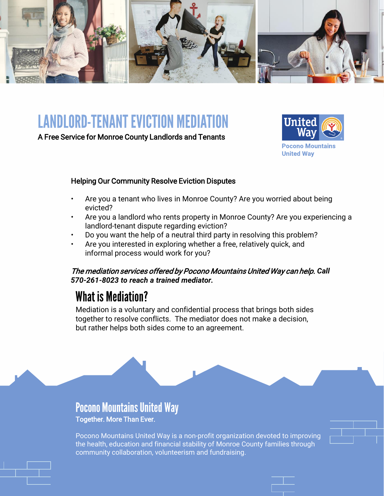

# **LANDLORD-TENANT EVICTION MEDIATION**

A Free Service for Monroe County Landlords and Tenants



#### Helping Our Community Resolve Eviction Disputes

- Are you a tenant who lives in Monroe County? Are you worried about being evicted?
- Are you a landlord who rents property in Monroe County? Are you experiencing a landlord-tenant dispute regarding eviction?
- Do you want the help of a neutral third party in resolving this problem?
- Are you interested in exploring whether a free, relatively quick, and informal process would work for you?

#### The mediation services offered by Pocono Mountains United Way can help. *Call 570-261-8023 to reach a trained mediator.*

### **What is Mediation?**

Mediation is a voluntary and confidential process that brings both sides together to resolve conflicts. The mediator does not make a decision, but rather helps both sides come to an agreement.

### **Pocono Mountains United Way** Together. More Than Ever.

Pocono Mountains United Way is a non-profit organization devoted to improving the health, education and financial stability of Monroe County families through community collaboration, volunteerism and fundraising.